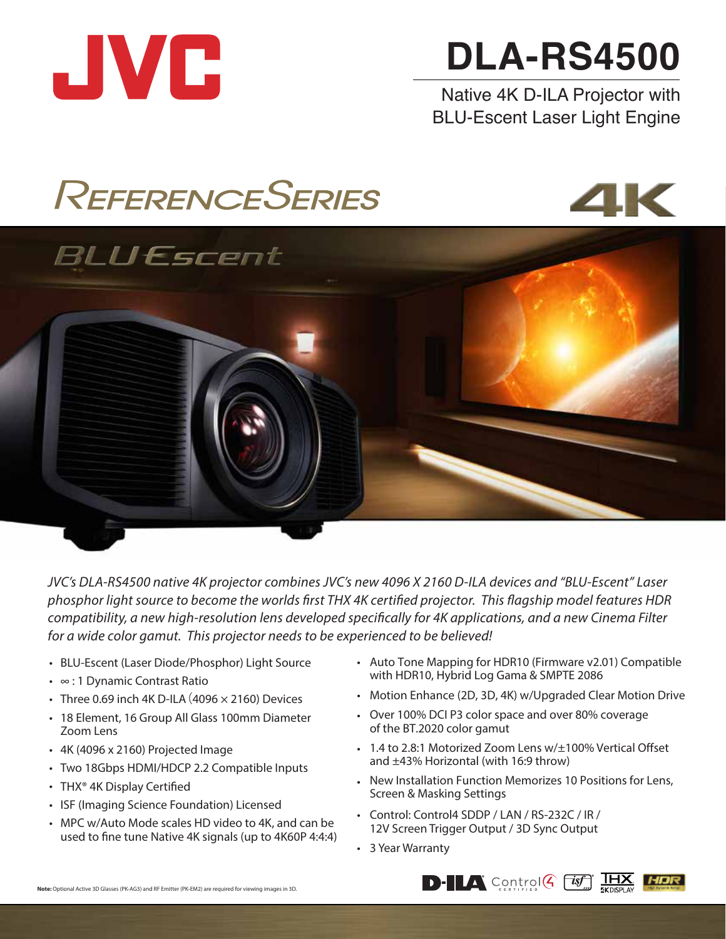

# **DLA-RS4500**

Native 4K D-ILA Projector with BLU-Escent Laser Light Engine

# REFERENCESERIES



# BLUEscent

*JVC's DLA-RS4500 native 4K projector combines JVC's new 4096 X 2160 D-ILA devices and "BLU-Escent" Laser*  phosphor light source to become the worlds first THX 4K certified projector. This flagship model features HDR *compatibility, a new high-resolution lens developed specifically for 4K applications, and a new Cinema Filter for a wide color gamut. This projector needs to be experienced to be believed!* 

- BLU-Escent (Laser Diode/Phosphor) Light Source •
- ∞ : 1 Dynamic Contrast Ratio •
- Three 0.69 inch 4K D-ILA (4096  $\times$  2160) Devices
- 18 Element, 16 Group All Glass 100mm Diameter Zoom Lens
- 4K (4096 x 2160) Projected Image •
- Two 18Gbps HDMI/HDCP 2.2 Compatible Inputs
- THX<sup>®</sup> 4K Display Certified
- ISF (Imaging Science Foundation) Licensed
- MPC w/Auto Mode scales HD video to 4K, and can be used to fine tune Native 4K signals (up to 4K60P 4:4:4)
- Auto Tone Mapping for HDR10 (Firmware v2.01) Compatible with HDR10, Hybrid Log Gama & SMPTE 2086
- Motion Enhance (2D, 3D, 4K) w/Upgraded Clear Motion Drive
- Over 100% DCI P3 color space and over 80% coverage of the BT.2020 color gamut
- 1.4 to 2.8:1 Motorized Zoom Lens w/±100% Vertical Offset and ±43% Horizontal (with 16:9 throw)
- New Installation Function Memorizes 10 Positions for Lens, Screen & Masking Settings
- Control: Control4 SDDP / LAN / RS-232C / IR / 12V Screen Trigger Output / 3D Sync Output
- 3 Year Warranty •